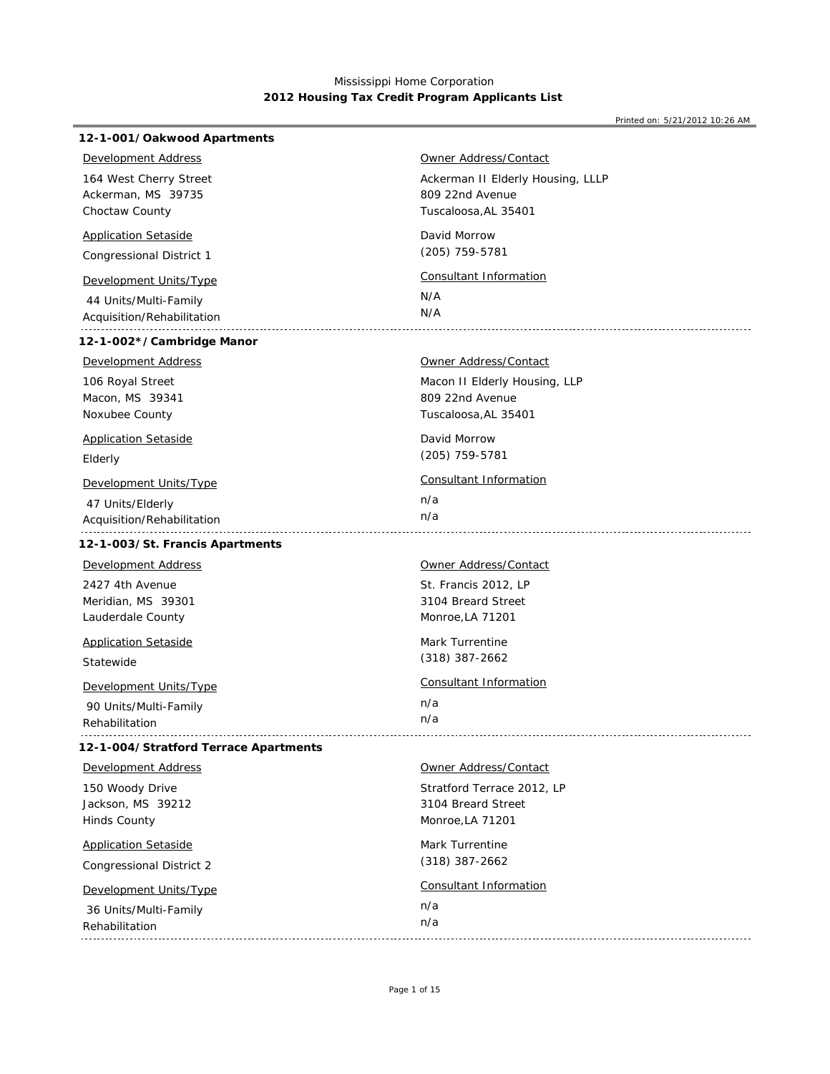Printed on: 5/21/2012 10:26 AM

| 12-1-001/Oakwood Apartments           |                                   |
|---------------------------------------|-----------------------------------|
| Development Address                   | Owner Address/Contact             |
| 164 West Cherry Street                | Ackerman II Elderly Housing, LLLP |
| Ackerman, MS 39735                    | 809 22nd Avenue                   |
| Choctaw County                        | Tuscaloosa, AL 35401              |
| <b>Application Setaside</b>           | David Morrow                      |
| Congressional District 1              | (205) 759-5781                    |
| Development Units/Type                | Consultant Information            |
| 44 Units/Multi-Family                 | N/A                               |
| Acquisition/Rehabilitation            | N/A                               |
| 12-1-002*/Cambridge Manor             |                                   |
| <b>Development Address</b>            | <b>Owner Address/Contact</b>      |
| 106 Royal Street                      | Macon II Elderly Housing, LLP     |
| Macon, MS 39341                       | 809 22nd Avenue                   |
| Noxubee County                        | Tuscaloosa, AL 35401              |
| <b>Application Setaside</b>           | David Morrow                      |
| Elderly                               | (205) 759-5781                    |
| Development Units/Type                | <b>Consultant Information</b>     |
| 47 Units/Elderly                      | n/a                               |
| Acquisition/Rehabilitation            | n/a                               |
| 12-1-003/St. Francis Apartments       |                                   |
| Development Address                   | Owner Address/Contact             |
| 2427 4th Avenue                       | St. Francis 2012, LP              |
| Meridian, MS 39301                    | 3104 Breard Street                |
| Lauderdale County                     | Monroe, LA 71201                  |
| <b>Application Setaside</b>           | <b>Mark Turrentine</b>            |
| Statewide                             | $(318)$ 387-2662                  |
| <b>Development Units/Type</b>         | Consultant Information            |
| 90 Units/Multi-Family                 | n/a                               |
| Rehabilitation                        | n/a                               |
| 12-1-004/Stratford Terrace Apartments |                                   |
| <b>Development Address</b>            | <b>Owner Address/Contact</b>      |
| 150 Woody Drive                       | Stratford Terrace 2012, LP        |
| Jackson, MS 39212                     | 3104 Breard Street                |
| <b>Hinds County</b>                   | Monroe, LA 71201                  |
| <b>Application Setaside</b>           | Mark Turrentine                   |
| <b>Congressional District 2</b>       | $(318)$ 387-2662                  |
| Development Units/Type                | Consultant Information            |
| 36 Units/Multi-Family                 | n/a                               |
| Rehabilitation                        | n/a                               |

Rehabilitation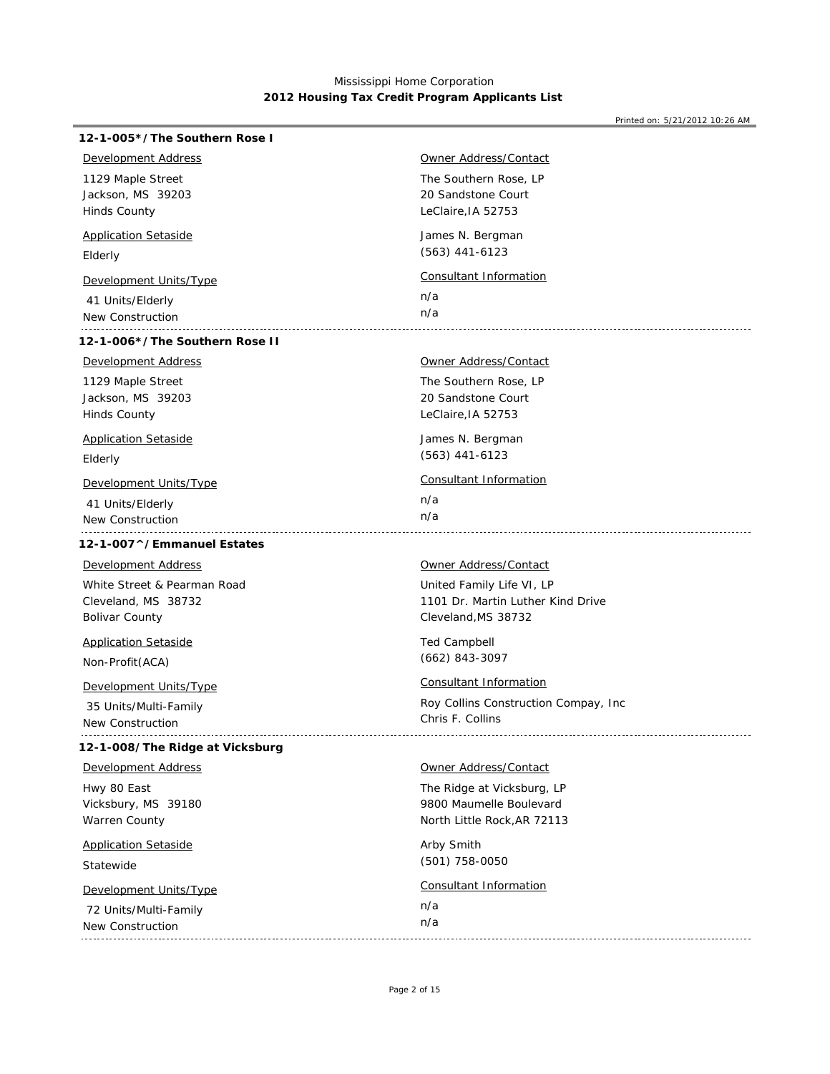| 12-1-005*/The Southern Rose I          |                                             |
|----------------------------------------|---------------------------------------------|
| <b>Development Address</b>             | <b>Owner Address/Contact</b>                |
| 1129 Maple Street<br>Jackson, MS 39203 | The Southern Rose, LP<br>20 Sandstone Court |
| <b>Hinds County</b>                    | LeClaire, IA 52753                          |
| <b>Application Setaside</b>            | James N. Bergman                            |
| Elderly                                | $(563)$ 441-6123                            |
| <b>Development Units/Type</b>          | <b>Consultant Information</b>               |
| 41 Units/Elderly                       | n/a                                         |
| New Construction                       | n/a                                         |
| 12-1-006*/The Southern Rose II         |                                             |
| <b>Development Address</b>             | <b>Owner Address/Contact</b>                |
| 1129 Maple Street                      | The Southern Rose, LP                       |
| Jackson, MS 39203                      | 20 Sandstone Court                          |
| <b>Hinds County</b>                    | LeClaire, IA 52753                          |
| <b>Application Setaside</b>            | James N. Bergman                            |
| Elderly                                | $(563)$ 441-6123                            |
| Development Units/Type                 | <b>Consultant Information</b>               |
| 41 Units/Elderly                       | n/a                                         |
| New Construction                       | n/a                                         |
| 12-1-007^/Emmanuel Estates             |                                             |
| <b>Development Address</b>             | Owner Address/Contact                       |
| White Street & Pearman Road            | United Family Life VI, LP                   |
| Cleveland, MS 38732                    | 1101 Dr. Martin Luther Kind Drive           |
| <b>Bolivar County</b>                  | Cleveland, MS 38732                         |
| <b>Application Setaside</b>            | <b>Ted Campbell</b>                         |
| Non-Profit (ACA)                       | $(662)$ 843-3097                            |
| <b>Development Units/Type</b>          | Consultant Information                      |
| 35 Units/Multi-Family                  | Roy Collins Construction Compay, Inc.       |
| New Construction                       | Chris F. Collins                            |
| 12-1-008/The Ridge at Vicksburg        |                                             |
| <b>Development Address</b>             | Owner Address/Contact                       |
| Hwy 80 East                            | The Ridge at Vicksburg, LP                  |
| Vicksbury, MS 39180                    | 9800 Maumelle Boulevard                     |
| Warren County                          | North Little Rock, AR 72113                 |
| <b>Application Setaside</b>            | Arby Smith                                  |
| Statewide                              | (501) 758-0050                              |
| Development Units/Type                 | <b>Consultant Information</b>               |
| 72 Units/Multi-Family                  | n/a                                         |
| New Construction                       | n/a                                         |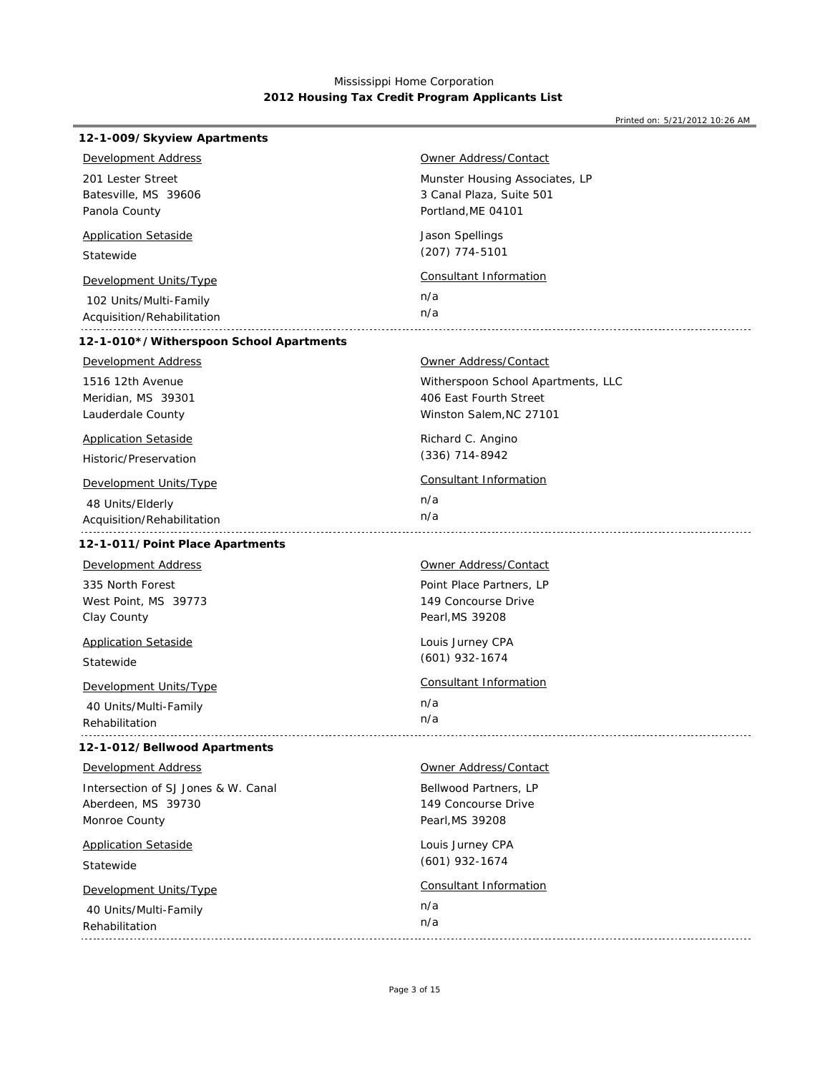| 12-1-009/Skyview Apartments             |                                    |
|-----------------------------------------|------------------------------------|
| Development Address                     | <u> Owner Address/Contact</u>      |
| 201 Lester Street                       | Munster Housing Associates, LP     |
| Batesville, MS 39606                    | 3 Canal Plaza, Suite 501           |
| Panola County                           | Portland, ME 04101                 |
| <b>Application Setaside</b>             | Jason Spellings                    |
| Statewide                               | (207) 774-5101                     |
| Development Units/Type                  | Consultant Information             |
| 102 Units/Multi-Family                  | n/a                                |
| Acquisition/Rehabilitation              | n/a                                |
| 12-1-010*/Witherspoon School Apartments |                                    |
| <b>Development Address</b>              | <b>Owner Address/Contact</b>       |
| 1516 12th Avenue                        | Witherspoon School Apartments, LLC |
| Meridian, MS 39301                      | 406 East Fourth Street             |
| Lauderdale County                       | Winston Salem, NC 27101            |
| <b>Application Setaside</b>             | Richard C. Angino                  |
| Historic/Preservation                   | $(336)$ 714-8942                   |
| <u>Development Units/Type</u>           | Consultant Information             |
| 48 Units/Elderly                        | n/a                                |
| Acquisition/Rehabilitation              | n/a                                |
| 12-1-011/Point Place Apartments         |                                    |
| <b>Development Address</b>              | Owner Address/Contact              |
| 335 North Forest                        | Point Place Partners, LP           |
| West Point, MS 39773                    | 149 Concourse Drive                |
| Clay County                             | Pearl, MS 39208                    |
| <b>Application Setaside</b>             | Louis Jurney CPA                   |
| Statewide                               | $(601)$ 932-1674                   |
| <b>Development Units/Type</b>           | <b>Consultant Information</b>      |
| 40 Units/Multi-Family                   | n/a                                |
| Rehabilitation                          | n/a                                |
| 12-1-012/Bellwood Apartments            |                                    |
| <b>Development Address</b>              | <b>Owner Address/Contact</b>       |
| Intersection of SJ Jones & W. Canal     | Bellwood Partners, LP              |
| Aberdeen, MS 39730                      | 149 Concourse Drive                |
| Monroe County                           | Pearl, MS 39208                    |
| <b>Application Setaside</b>             | Louis Jurney CPA                   |
| Statewide                               | $(601)$ 932-1674                   |
| Development Units/Type                  | Consultant Information             |
| 40 Units/Multi-Family                   | n/a                                |
| Rehabilitation                          | n/a                                |
|                                         |                                    |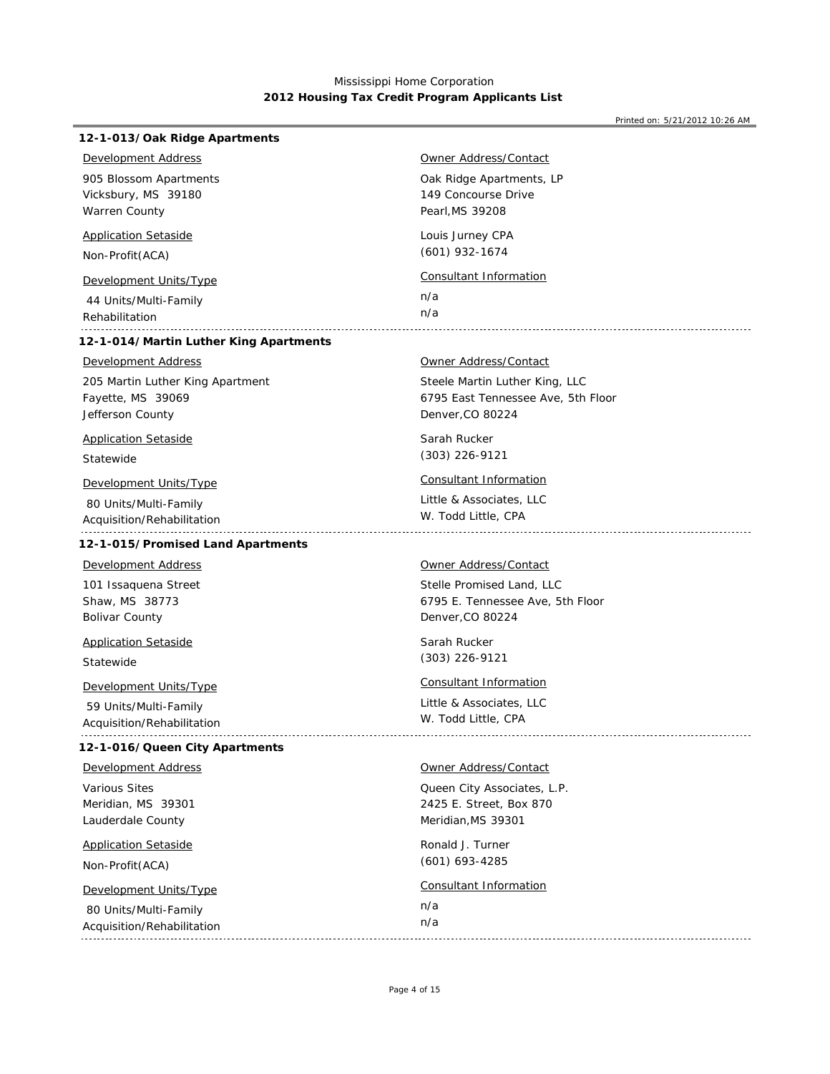| 12-1-013/Oak Ridge Apartments                       |                                                 |
|-----------------------------------------------------|-------------------------------------------------|
| Development Address                                 | Owner Address/Contact                           |
| 905 Blossom Apartments                              | Oak Ridge Apartments, LP                        |
| Vicksbury, MS 39180                                 | 149 Concourse Drive                             |
| Warren County                                       | Pearl, MS 39208                                 |
| <b>Application Setaside</b>                         | Louis Jurney CPA                                |
| Non-Profit (ACA)                                    | $(601)$ 932-1674                                |
| <b>Development Units/Type</b>                       | <b>Consultant Information</b>                   |
| 44 Units/Multi-Family                               | n/a                                             |
| Rehabilitation                                      | n/a                                             |
| 12-1-014/Martin Luther King Apartments              |                                                 |
| <b>Development Address</b>                          | <b>Owner Address/Contact</b>                    |
| 205 Martin Luther King Apartment                    | Steele Martin Luther King, LLC                  |
| Fayette, MS 39069                                   | 6795 East Tennessee Ave, 5th Floor              |
| Jefferson County                                    | Denver, CO 80224                                |
| <b>Application Setaside</b>                         | Sarah Rucker                                    |
| Statewide                                           | $(303)$ 226-9121                                |
| Development Units/Type                              | <b>Consultant Information</b>                   |
| 80 Units/Multi-Family<br>Acquisition/Rehabilitation | Little & Associates, LLC<br>W. Todd Little, CPA |
| 12-1-015/Promised Land Apartments                   |                                                 |
| <b>Development Address</b>                          | Owner Address/Contact                           |
| 101 Issaquena Street                                | Stelle Promised Land, LLC                       |
| Shaw, MS 38773                                      | 6795 E. Tennessee Ave, 5th Floor                |
| <b>Bolivar County</b>                               | Denver, CO 80224                                |
| <b>Application Setaside</b>                         | Sarah Rucker                                    |
| Statewide                                           | $(303)$ 226-9121                                |
| Development Units/Type                              | Consultant Information                          |
| 59 Units/Multi-Family                               | Little & Associates, LLC                        |
| Acquisition/Rehabilitation                          | W. Todd Little, CPA                             |
| 12-1-016/Queen City Apartments                      |                                                 |
| <b>Development Address</b>                          | Owner Address/Contact                           |
| Various Sites                                       | Queen City Associates, L.P.                     |
| Meridian, MS 39301                                  | 2425 E. Street, Box 870                         |
| Lauderdale County                                   | Meridian, MS 39301                              |
| <b>Application Setaside</b>                         | Ronald J. Turner                                |
| Non-Profit(ACA)                                     | (601) 693-4285                                  |
| Development Units/Type                              | Consultant Information                          |
| 80 Units/Multi-Family                               | n/a                                             |
| Acquisition/Rehabilitation                          | n/a                                             |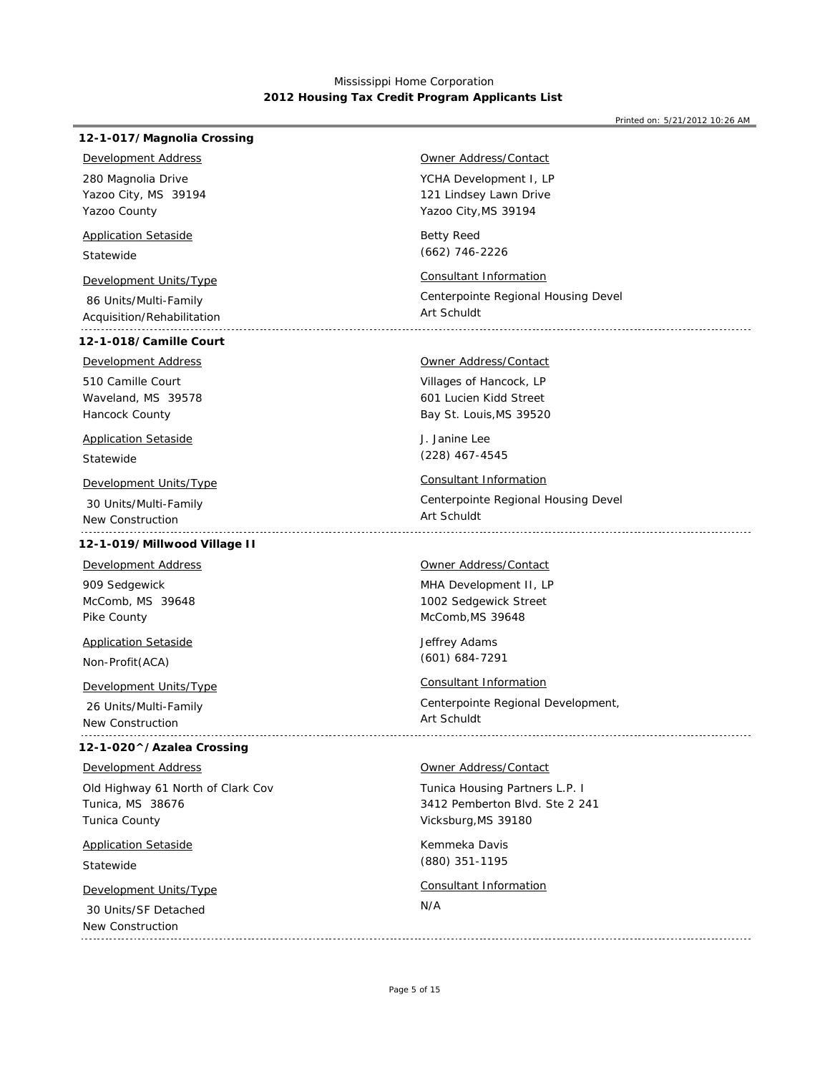#### Printed on: 5/21/2012 10:26 AM

## **12-1-017/Magnolia Crossing**

*Development Address*

Yazoo City, MS 39194 Yazoo County 280 Magnolia Drive

## *Application Setaside*

Statewide

# *Development Units/Type Consultant Information*

 86 Units/Multi-Family Acquisition/Rehabilitation

# **12-1-018/Camille Court**

Waveland, MS 39578 510 Camille Court *Development Address*

## *Application Setaside*

Hancock County

Statewide

# *Development Units/Type Consultant Information*

 30 Units/Multi-Family New Construction

# **12-1-019/Millwood Village II**

McComb, MS 39648 Pike County 909 Sedgewick *Development Address*

# *Application Setaside*

Non-Profit(ACA)

# *Development Units/Type Consultant Information*

 26 Units/Multi-Family New Construction

## **12-1-020^/Azalea Crossing**

## *Development Address*

Tunica, MS 38676 Tunica County Old Highway 61 North of Clark Cov

# *Application Setaside*

Statewide

 30 Units/SF Detached New Construction

## *Owner Address/Contact*

YCHA Development I, LP Yazoo City,MS 39194 121 Lindsey Lawn Drive

Betty Reed (662) 746-2226

Centerpointe Regional Housing Devel Art Schuldt

## *Owner Address/Contact*

Villages of Hancock, LP Bay St. Louis,MS 39520 601 Lucien Kidd Street

J. Janine Lee (228) 467-4545

Centerpointe Regional Housing Devel Art Schuldt 

#### *Owner Address/Contact*

MHA Development II, LP McComb,MS 39648 1002 Sedgewick Street

Jeffrey Adams (601) 684-7291

Centerpointe Regional Development, Art Schuldt 

## *Owner Address/Contact*

Tunica Housing Partners L.P. I Vicksburg,MS 39180 3412 Pemberton Blvd. Ste 2 241

Kemmeka Davis (880) 351-1195

# *Development Units/Type Consultant Information*

#### N/A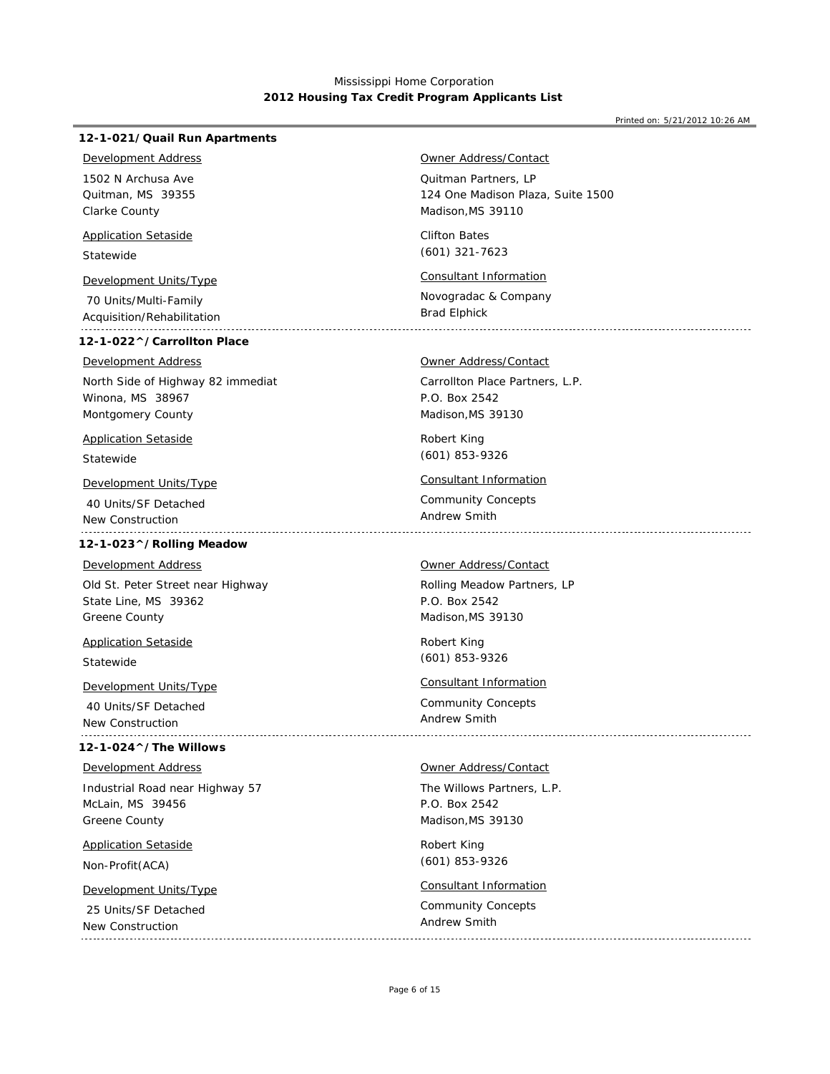#### Printed on: 5/21/2012 10:26 AM

## **12-1-021/Quail Run Apartments**

## *Development Address*

Quitman, MS 39355 Clarke County 1502 N Archusa Ave

## *Application Setaside*

Statewide

# *Development Units/Type Consultant Information*

 70 Units/Multi-Family Acquisition/Rehabilitation

# **12-1-022^/Carrollton Place**

## *Development Address*

Winona, MS 38967 Montgomery County North Side of Highway 82 immediat

# *Application Setaside*

Statewide

# *Development Units/Type Consultant Information*

 40 Units/SF Detached New Construction 

## **12-1-023^/Rolling Meadow**

#### *Development Address*

State Line, MS 39362 Greene County Old St. Peter Street near Highway

*Application Setaside*

# Statewide

 40 Units/SF Detached New Construction 

# **12-1-024^/The Willows**

## *Development Address*

McLain, MS 39456 Greene County Industrial Road near Highway 57

# *Application Setaside*

Non-Profit(ACA)

 25 Units/SF Detached New Construction 

## *Owner Address/Contact*

Quitman Partners, LP Madison,MS 39110 124 One Madison Plaza, Suite 1500

Clifton Bates (601) 321-7623

Novogradac & Company Brad Elphick

## *Owner Address/Contact*

Carrollton Place Partners, L.P. Madison,MS 39130 P.O. Box 2542

Robert King (601) 853-9326

Community Concepts Andrew Smith

## *Owner Address/Contact*

Rolling Meadow Partners, LP Madison,MS 39130 P.O. Box 2542

Robert King (601) 853-9326

# *Development Units/Type Consultant Information*

Community Concepts Andrew Smith

## *Owner Address/Contact*

The Willows Partners, L.P. Madison,MS 39130 P.O. Box 2542

Robert King (601) 853-9326

# *Development Units/Type Consultant Information*

Community Concepts Andrew Smith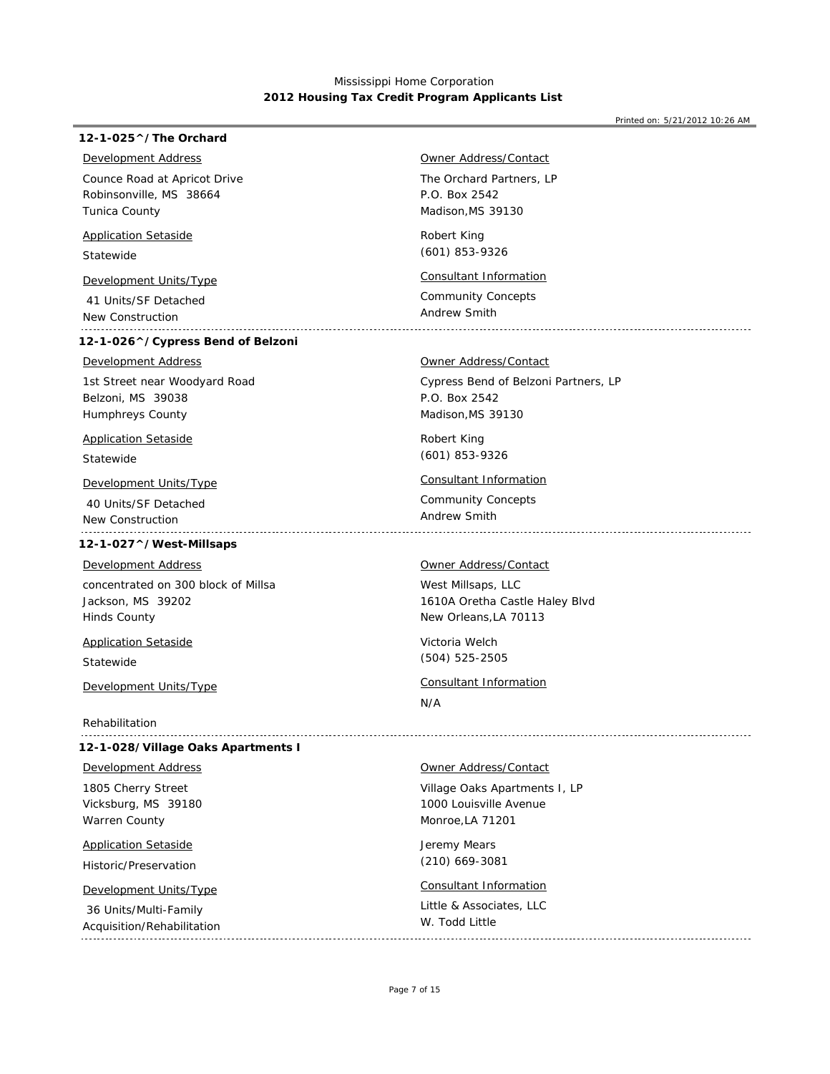## **12-1-025^/The Orchard**

## *Development Address*

Robinsonville, MS 38664 Tunica County Counce Road at Apricot Drive

## *Application Setaside*

Statewide

 41 Units/SF Detached New Construction

## **12-1-026^/Cypress Bend of Belzoni**

### *Development Address*

Belzoni, MS 39038 Humphreys County 1st Street near Woodyard Road

# *Application Setaside*

Statewide

 40 Units/SF Detached New Construction 

# **12-1-027^/West-Millsaps**

#### *Development Address*

Jackson, MS 39202 Hinds County concentrated on 300 block of Millsa

*Application Setaside*

Statewide

Rehabilitation

## **12-1-028/Village Oaks Apartments I**

## *Development Address*

Vicksburg, MS 39180 Warren County 1805 Cherry Street

*Application Setaside*

Historic/Preservation

 36 Units/Multi-Family Acquisition/Rehabilitation 

## *Owner Address/Contact*

The Orchard Partners, LP Madison,MS 39130 P.O. Box 2542

Robert King (601) 853-9326

# *Development Units/Type Consultant Information*

Community Concepts

Andrew Smith

### *Owner Address/Contact*

Cypress Bend of Belzoni Partners, LP Madison,MS 39130 P.O. Box 2542

Robert King (601) 853-9326

# *Development Units/Type Consultant Information*

Community Concepts Andrew Smith

### *Owner Address/Contact*

West Millsaps, LLC New Orleans,LA 70113 1610A Oretha Castle Haley Blvd

Victoria Welch (504) 525-2505

# *Development Units/Type Consultant Information*

N/A

## *Owner Address/Contact*

Village Oaks Apartments I, LP Monroe,LA 71201 1000 Louisville Avenue

Jeremy Mears (210) 669-3081

# *Development Units/Type Consultant Information*

Little & Associates, LLC W. Todd Little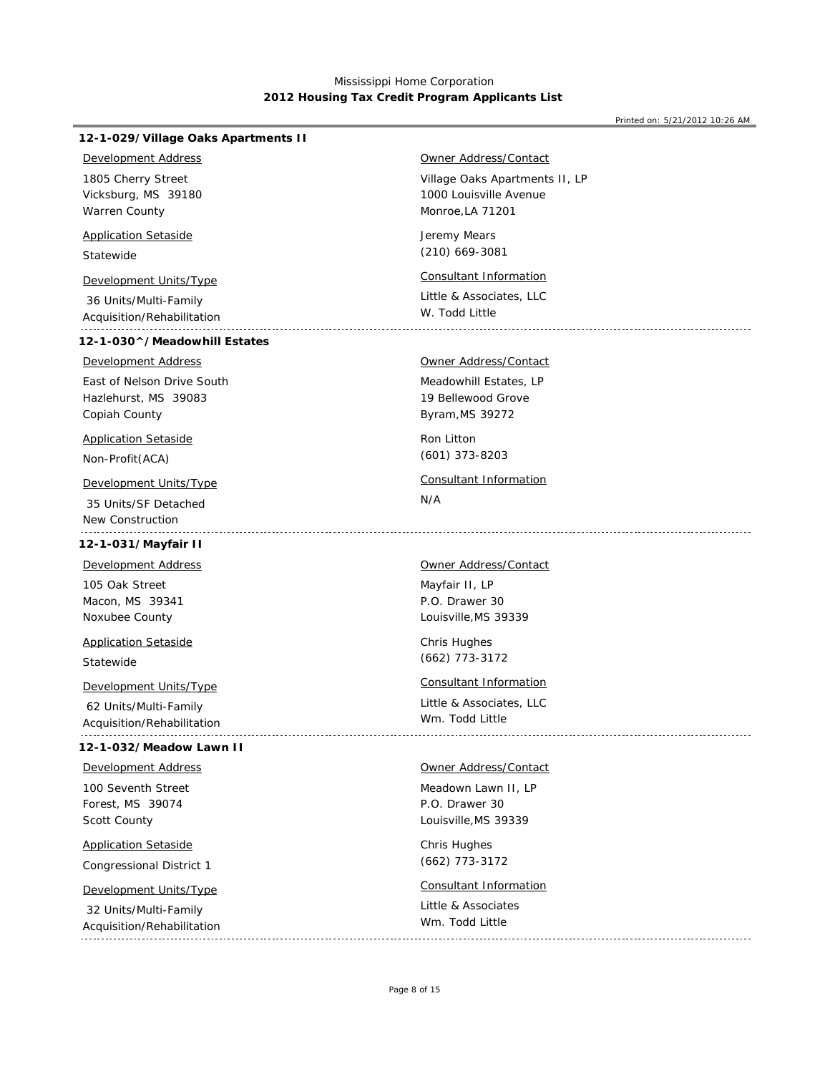#### Printed on: 5/21/2012 10:26 AM

## **12-1-029/Village Oaks Apartments II**

## *Development Address*

Vicksburg, MS 39180 Warren County 1805 Cherry Street

## *Application Setaside*

Statewide

# *Development Units/Type Consultant Information*

 36 Units/Multi-Family Acquisition/Rehabilitation

## **12-1-030^/Meadowhill Estates**

### *Development Address*

Hazlehurst, MS 39083 Copiah County East of Nelson Drive South

## *Application Setaside*

Non-Profit(ACA)

 35 Units/SF Detached New Construction

# **12-1-031/Mayfair II**

*Development Address*

Macon, MS 39341 Noxubee County 105 Oak Street

Statewide *Application Setaside*

# *Development Units/Type Consultant Information*

 62 Units/Multi-Family Acquisition/Rehabilitation

#### **12-1-032/Meadow Lawn II**

# *Development Address*

Forest, MS 39074 Scott County 100 Seventh Street

# *Application Setaside*

Congressional District 1

 32 Units/Multi-Family Acquisition/Rehabilitation

## *Owner Address/Contact*

Village Oaks Apartments II, LP Monroe,LA 71201 1000 Louisville Avenue

Jeremy Mears (210) 669-3081

Little & Associates, LLC W. Todd Little

# *Owner Address/Contact*

Meadowhill Estates, LP Byram,MS 39272 19 Bellewood Grove

Ron Litton (601) 373-8203

# N/A *Development Units/Type Consultant Information*

Mayfair II, LP *Owner Address/Contact*

Louisville,MS 39339 P.O. Drawer 30

Chris Hughes (662) 773-3172

Little & Associates, LLC Wm. Todd Little 

### *Owner Address/Contact*

Meadown Lawn II, LP Louisville,MS 39339 P.O. Drawer 30

Chris Hughes (662) 773-3172

# *Development Units/Type Consultant Information*

Little & Associates Wm. Todd Little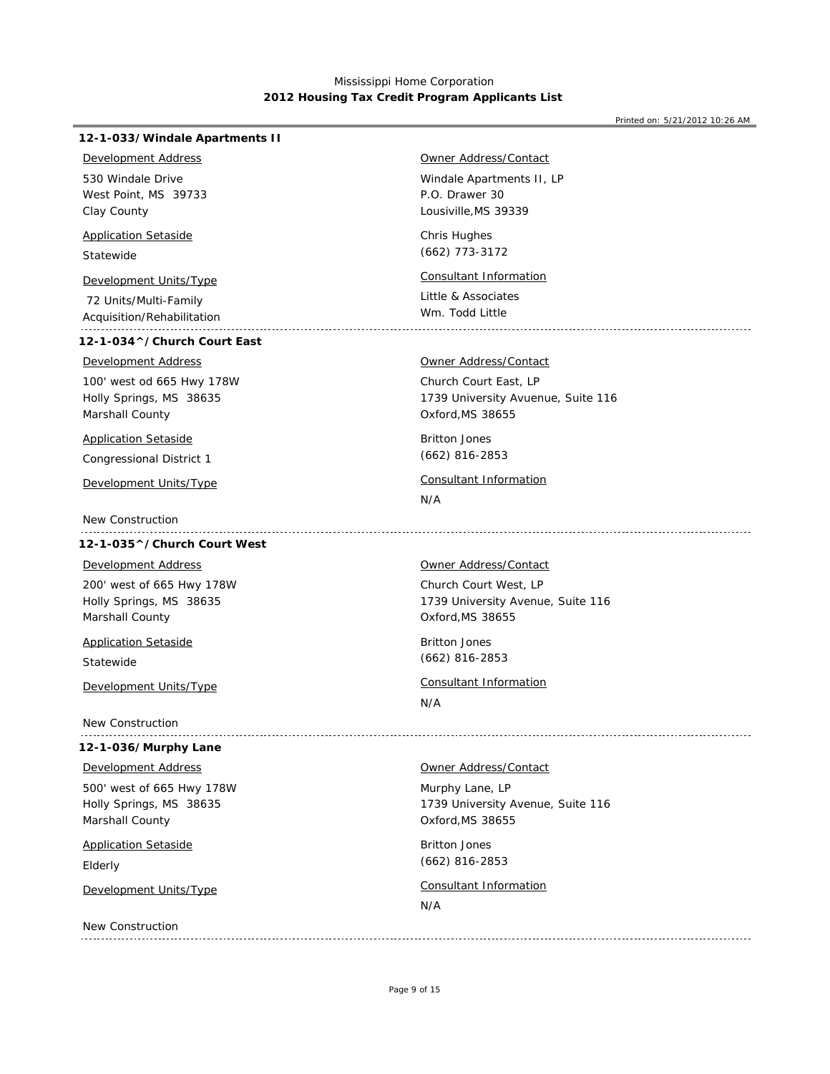#### Printed on: 5/21/2012 10:26 AM

## **12-1-033/Windale Apartments II**

## *Development Address*

West Point, MS 39733 Clay County 530 Windale Drive

## *Application Setaside*

Statewide

# *Development Units/Type Consultant Information*

 72 Units/Multi-Family Acquisition/Rehabilitation

## **12-1-034^/Church Court East**

## *Development Address*

Holly Springs, MS 38635 Marshall County 100' west od 665 Hwy 178W

## *Application Setaside*

Congressional District 1

New Construction

### **12-1-035^/Church Court West**

# *Development Address*

Holly Springs, MS 38635 Marshall County 200' west of 665 Hwy 178W

*Application Setaside*

Statewide

New Construction

## **12-1-036/Murphy Lane**

### *Development Address*

Holly Springs, MS 38635 Marshall County 500' west of 665 Hwy 178W

# *Application Setaside*

Elderly

New Construction

# *Owner Address/Contact*

Windale Apartments II, LP Lousiville,MS 39339 P.O. Drawer 30

Chris Hughes (662) 773-3172

Little & Associates Wm. Todd Little

### *Owner Address/Contact*

Church Court East, LP Oxford,MS 38655 1739 University Avuenue, Suite 116

Britton Jones (662) 816-2853

# *Development Units/Type Consultant Information*

N/A

#### *Owner Address/Contact*

Church Court West, LP Oxford,MS 38655 1739 University Avenue, Suite 116

Britton Jones (662) 816-2853

# *Development Units/Type Consultant Information*

N/A

# *Owner Address/Contact*

Murphy Lane, LP Oxford,MS 38655 1739 University Avenue, Suite 116

Britton Jones (662) 816-2853

# *Development Units/Type Consultant Information*

N/A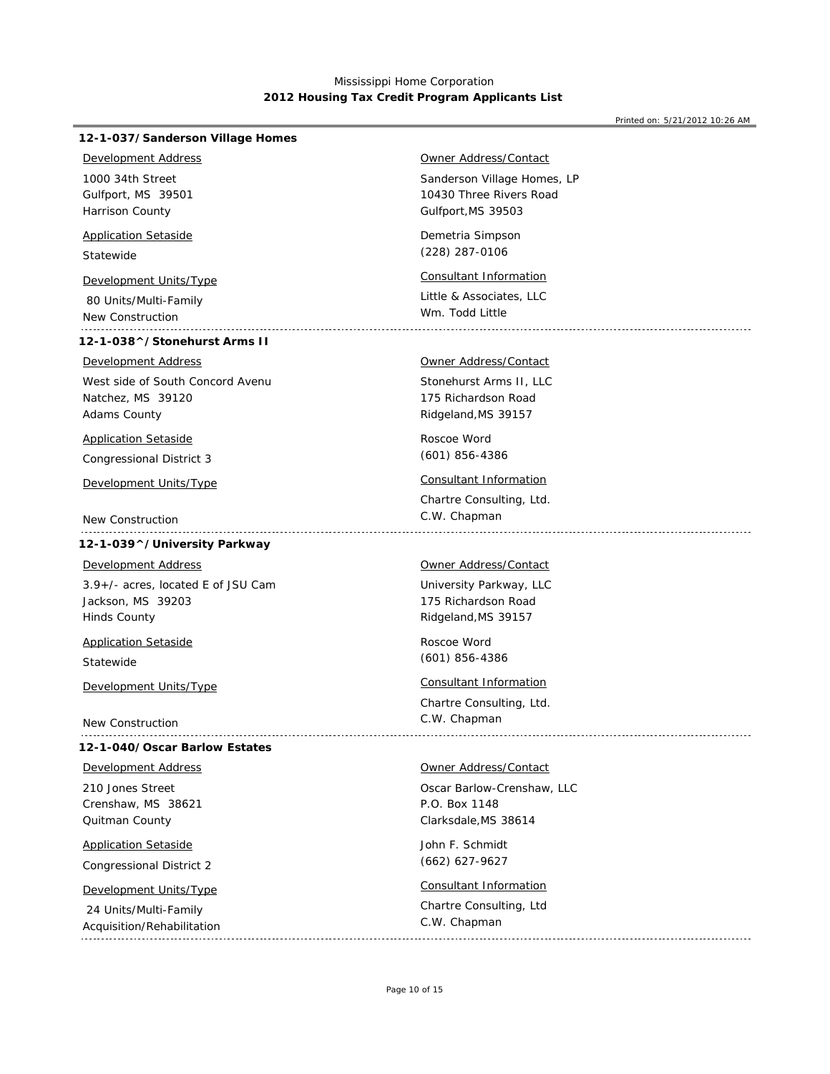#### Printed on: 5/21/2012 10:26 AM

## **12-1-037/Sanderson Village Homes**

## *Development Address*

Gulfport, MS 39501 Harrison County 1000 34th Street

## *Application Setaside*

Statewide

# *Development Units/Type Consultant Information*

 80 Units/Multi-Family New Construction

## **12-1-038^/Stonehurst Arms II**

### *Development Address*

Natchez, MS 39120 Adams County West side of South Concord Avenu

### *Application Setaside*

Congressional District 3

# *Development Units/Type Consultant Information*

New Construction

# **12-1-039^/University Parkway**

# *Development Address*

Jackson, MS 39203 Hinds County 3.9+/- acres, located E of JSU Cam

Statewide *Application Setaside*

*Development Units/Type Consultant Information*

New Construction

### **12-1-040/Oscar Barlow Estates**

## *Development Address*

Crenshaw, MS 38621 Quitman County 210 Jones Street

Congressional District 2 *Application Setaside*

24 Units/Multi-Family

# *Owner Address/Contact*

Sanderson Village Homes, LP Gulfport,MS 39503 10430 Three Rivers Road

Demetria Simpson (228) 287-0106

Little & Associates, LLC Wm. Todd Little

# *Owner Address/Contact*

Stonehurst Arms II, LLC Ridgeland,MS 39157 175 Richardson Road

Roscoe Word (601) 856-4386

Chartre Consulting, Ltd. C.W. Chapman

### *Owner Address/Contact*

University Parkway, LLC Ridgeland,MS 39157 175 Richardson Road

Roscoe Word (601) 856-4386

Chartre Consulting, Ltd. C.W. Chapman

#### *Owner Address/Contact*

Oscar Barlow-Crenshaw, LLC Clarksdale,MS 38614 P.O. Box 1148

John F. Schmidt (662) 627-9627

# *Development Units/Type Consultant Information*

Chartre Consulting, Ltd

## Acquisition/Rehabilitation C.W. Chapman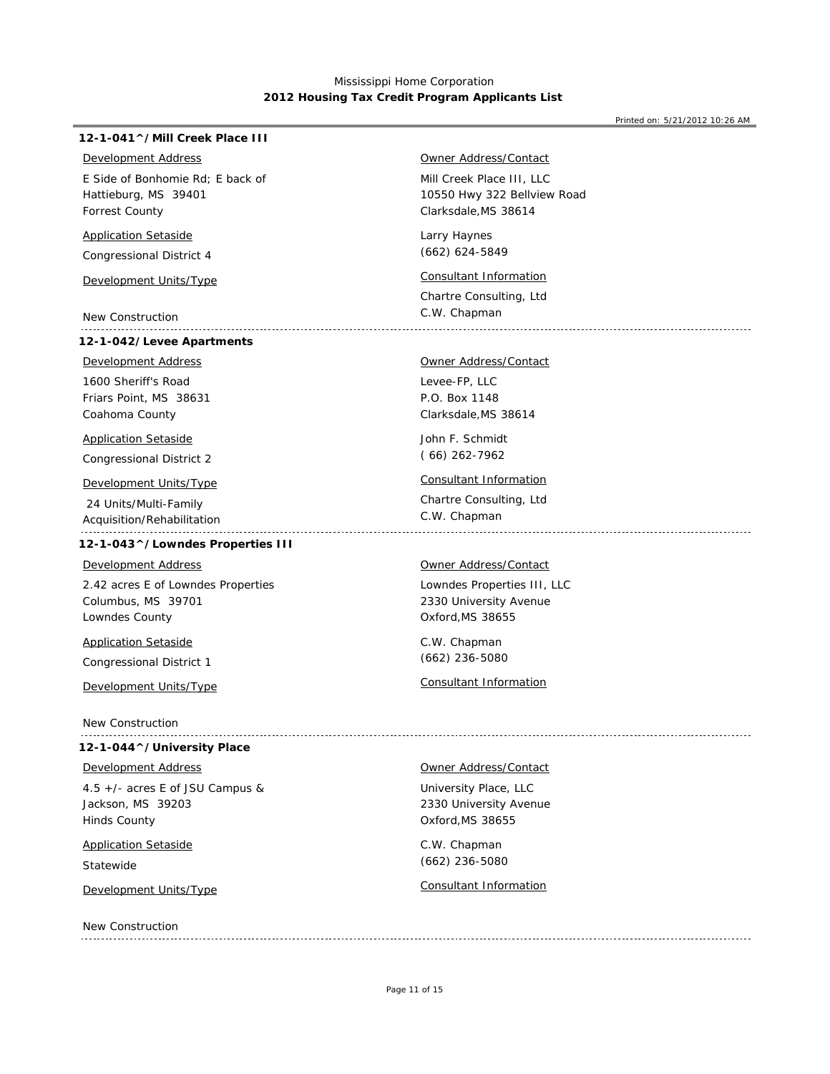### Printed on: 5/21/2012 10:26 AM

## **12-1-041^/Mill Creek Place III**

## *Development Address*

Hattieburg, MS 39401 Forrest County E Side of Bonhomie Rd; E back of

## *Application Setaside*

Congressional District 4

New Construction

### **12-1-042/Levee Apartments**

Friars Point, MS 38631 1600 Sheriff's Road *Development Address*

Coahoma County

*Application Setaside*

Congressional District 2

# *Development Units/Type Consultant Information*

 24 Units/Multi-Family Acquisition/Rehabilitation

# **12-1-043^/Lowndes Properties III**

### *Development Address*

Columbus, MS 39701 Lowndes County 2.42 acres E of Lowndes Properties

*Application Setaside*

Congressional District 1

New Construction

### **12-1-044^/University Place**

## *Development Address*

Jackson, MS 39203 Hinds County 4.5 +/- acres E of JSU Campus &

# *Application Setaside*

Statewide

New Construction

## *Owner Address/Contact*

Mill Creek Place III, LLC Clarksdale,MS 38614 10550 Hwy 322 Bellview Road

Larry Haynes (662) 624-5849

# *Development Units/Type Consultant Information*

Chartre Consulting, Ltd C.W. Chapman

# Levee-FP, LLC *Owner Address/Contact*

Clarksdale,MS 38614 P.O. Box 1148

John F. Schmidt ( 66) 262-7962

Chartre Consulting, Ltd C.W. Chapman

#### *Owner Address/Contact*

Lowndes Properties III, LLC Oxford,MS 38655 2330 University Avenue

C.W. Chapman (662) 236-5080

# *Development Units/Type Consultant Information*

*Owner Address/Contact*

University Place, LLC Oxford,MS 38655 2330 University Avenue

C.W. Chapman (662) 236-5080

# *Development Units/Type Consultant Information*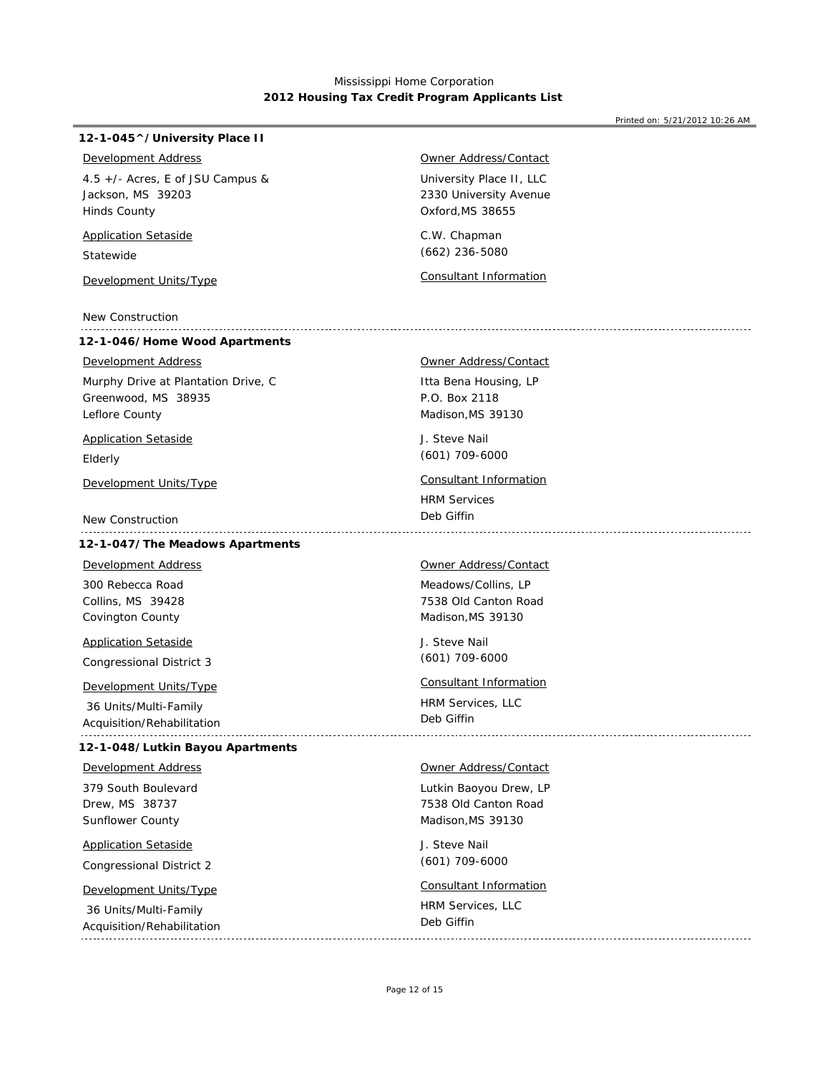### **12-1-045^/University Place II**

## *Development Address*

Jackson, MS 39203 Hinds County 4.5 +/- Acres, E of JSU Campus &

## *Application Setaside*

Statewide

*Development Units/Type Consultant Information*

New Construction

## **12-1-046/Home Wood Apartments**

# *Development Address*

Greenwood, MS 38935 Leflore County Murphy Drive at Plantation Drive, C

### *Application Setaside*

Elderly

New Construction

## **12-1-047/The Meadows Apartments**

Collins, MS 39428 Covington County 300 Rebecca Road *Development Address*

Congressional District 3 *Application Setaside*

 36 Units/Multi-Family Acquisition/Rehabilitation

### **12-1-048/Lutkin Bayou Apartments**

379 South Boulevard *Development Address*

Drew, MS 38737 Sunflower County

Congressional District 2 *Application Setaside*

 36 Units/Multi-Family Acquisition/Rehabilitation

# *Owner Address/Contact*

University Place II, LLC Oxford,MS 38655 2330 University Avenue

C.W. Chapman (662) 236-5080

Itta Bena Housing, LP Madison,MS 39130 P.O. Box 2118 *Owner Address/Contact*

J. Steve Nail (601) 709-6000

*Development Units/Type Consultant Information*

HRM Services Deb Giffin

#### *Owner Address/Contact*

Meadows/Collins, LP Madison,MS 39130 7538 Old Canton Road

J. Steve Nail (601) 709-6000

# *Development Units/Type Consultant Information*

HRM Services, LLC Deb Giffin

## *Owner Address/Contact*

Lutkin Baoyou Drew, LP Madison,MS 39130 7538 Old Canton Road

J. Steve Nail (601) 709-6000

# *Development Units/Type Consultant Information*

HRM Services, LLC Deb Giffin

Page 12 of 15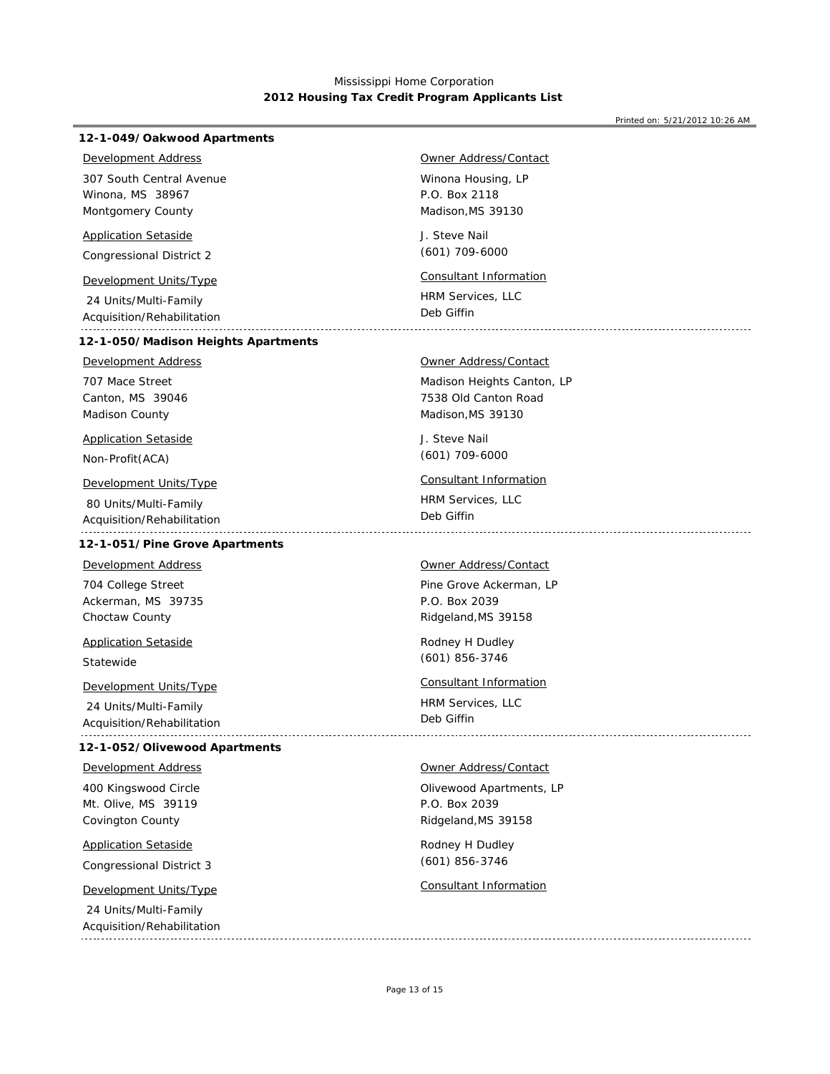Printed on: 5/21/2012 10:26 AM

#### J. Steve Nail Winona, MS 38967 Montgomery County HRM Services, LLC Congressional District 2 24 Units/Multi-Family Acquisition/Rehabilitation Winona Housing, LP Madison,MS 39130 P.O. Box 2118 307 South Central Avenue (601) 709-6000 Deb Giffin **12-1-049/Oakwood Apartments** *Development Address Application Setaside Owner Address/Contact Development Units/Type Consultant Information* J. Steve Nail Canton, MS 39046 Madison County HRM Services, LLC Non-Profit(ACA) 80 Units/Multi-Family Acquisition/Rehabilitation Madison Heights Canton, LP Madison,MS 39130 7538 Old Canton Road 707 Mace Street (601) 709-6000 Deb Giffin **12-1-050/Madison Heights Apartments** *Development Address Application Setaside Owner Address/Contact Development Units/Type Consultant Information* Rodney H Dudley Ackerman, MS 39735 Choctaw County HRM Services, LLC Statewide 24 Units/Multi-Family Acquisition/Rehabilitation Pine Grove Ackerman, LP Ridgeland,MS 39158 P.O. Box 2039 704 College Street (601) 856-3746 Deb Giffin **12-1-051/Pine Grove Apartments** *Development Address Application Setaside Owner Address/Contact Development Units/Type Consultant Information* Rodney H Dudley Mt. Olive, MS 39119 Covington County Congressional District 3 24 Units/Multi-Family Acquisition/Rehabilitation Olivewood Apartments, LP Ridgeland,MS 39158 P.O. Box 2039 400 Kingswood Circle (601) 856-3746 **12-1-052/Olivewood Apartments** *Development Address Application Setaside Owner Address/Contact Development Units/Type Consultant Information*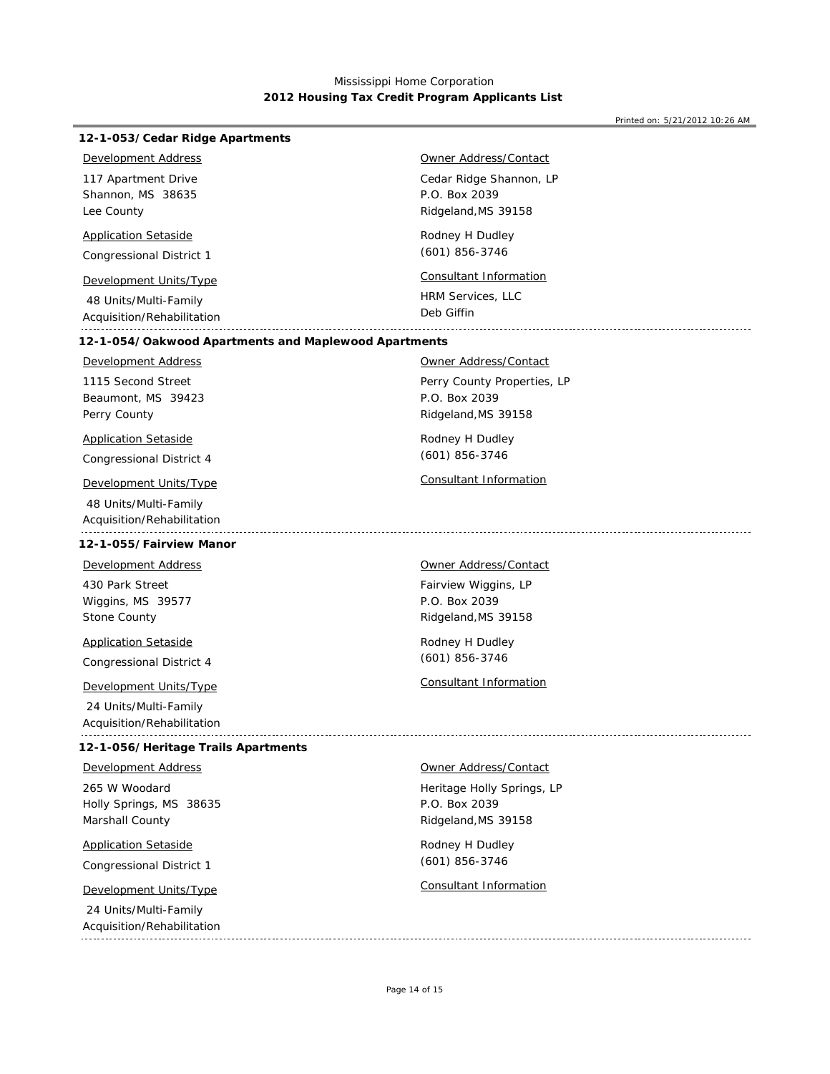| <b>Development Address</b><br>Owner Address/Contact<br>Cedar Ridge Shannon, LP<br>117 Apartment Drive<br>P.O. Box 2039<br>Shannon, MS 38635<br>Lee County<br>Ridgeland, MS 39158<br><b>Application Setaside</b><br>Rodney H Dudley<br>$(601)$ 856-3746<br>Congressional District 1<br><b>Consultant Information</b><br>Development Units/Type<br>HRM Services, LLC<br>48 Units/Multi-Family<br>Deb Giffin<br>Acquisition/Rehabilitation<br>12-1-054/Oakwood Apartments and Maplewood Apartments<br><b>Development Address</b><br><b>Owner Address/Contact</b><br>1115 Second Street<br>Perry County Properties, LP<br>P.O. Box 2039<br>Beaumont, MS 39423<br>Perry County<br>Ridgeland, MS 39158<br><b>Application Setaside</b><br>Rodney H Dudley<br>$(601)$ 856-3746<br>Congressional District 4<br>Consultant Information<br>Development Units/Type<br>48 Units/Multi-Family<br>Acquisition/Rehabilitation<br>12-1-055/Fairview Manor<br>Development Address<br>Owner Address/Contact<br>430 Park Street<br>Fairview Wiggins, LP<br>Wiggins, MS 39577<br>P.O. Box 2039<br>Stone County<br>Ridgeland, MS 39158<br><b>Application Setaside</b><br>Rodney H Dudley<br>$(601)$ 856-3746<br>Congressional District 4<br>Consultant Information<br><b>Development Units/Type</b><br>24 Units/Multi-Family<br>Acquisition/Rehabilitation<br>12-1-056/Heritage Trails Apartments<br>Owner Address/Contact<br><b>Development Address</b><br>265 W Woodard<br>Heritage Holly Springs, LP<br>P.O. Box 2039<br>Holly Springs, MS 38635<br>Marshall County<br>Ridgeland, MS 39158<br><b>Application Setaside</b><br>Rodney H Dudley<br>$(601)$ 856-3746<br>Congressional District 1<br><b>Consultant Information</b><br>Development Units/Type | 12-1-053/Cedar Ridge Apartments |  |
|--------------------------------------------------------------------------------------------------------------------------------------------------------------------------------------------------------------------------------------------------------------------------------------------------------------------------------------------------------------------------------------------------------------------------------------------------------------------------------------------------------------------------------------------------------------------------------------------------------------------------------------------------------------------------------------------------------------------------------------------------------------------------------------------------------------------------------------------------------------------------------------------------------------------------------------------------------------------------------------------------------------------------------------------------------------------------------------------------------------------------------------------------------------------------------------------------------------------------------------------------------------------------------------------------------------------------------------------------------------------------------------------------------------------------------------------------------------------------------------------------------------------------------------------------------------------------------------------------------------------------------------------------------------------------------------------------------------------------------------|---------------------------------|--|
|                                                                                                                                                                                                                                                                                                                                                                                                                                                                                                                                                                                                                                                                                                                                                                                                                                                                                                                                                                                                                                                                                                                                                                                                                                                                                                                                                                                                                                                                                                                                                                                                                                                                                                                                      |                                 |  |
|                                                                                                                                                                                                                                                                                                                                                                                                                                                                                                                                                                                                                                                                                                                                                                                                                                                                                                                                                                                                                                                                                                                                                                                                                                                                                                                                                                                                                                                                                                                                                                                                                                                                                                                                      |                                 |  |
|                                                                                                                                                                                                                                                                                                                                                                                                                                                                                                                                                                                                                                                                                                                                                                                                                                                                                                                                                                                                                                                                                                                                                                                                                                                                                                                                                                                                                                                                                                                                                                                                                                                                                                                                      |                                 |  |
|                                                                                                                                                                                                                                                                                                                                                                                                                                                                                                                                                                                                                                                                                                                                                                                                                                                                                                                                                                                                                                                                                                                                                                                                                                                                                                                                                                                                                                                                                                                                                                                                                                                                                                                                      |                                 |  |
|                                                                                                                                                                                                                                                                                                                                                                                                                                                                                                                                                                                                                                                                                                                                                                                                                                                                                                                                                                                                                                                                                                                                                                                                                                                                                                                                                                                                                                                                                                                                                                                                                                                                                                                                      |                                 |  |
|                                                                                                                                                                                                                                                                                                                                                                                                                                                                                                                                                                                                                                                                                                                                                                                                                                                                                                                                                                                                                                                                                                                                                                                                                                                                                                                                                                                                                                                                                                                                                                                                                                                                                                                                      |                                 |  |
|                                                                                                                                                                                                                                                                                                                                                                                                                                                                                                                                                                                                                                                                                                                                                                                                                                                                                                                                                                                                                                                                                                                                                                                                                                                                                                                                                                                                                                                                                                                                                                                                                                                                                                                                      |                                 |  |
|                                                                                                                                                                                                                                                                                                                                                                                                                                                                                                                                                                                                                                                                                                                                                                                                                                                                                                                                                                                                                                                                                                                                                                                                                                                                                                                                                                                                                                                                                                                                                                                                                                                                                                                                      |                                 |  |
|                                                                                                                                                                                                                                                                                                                                                                                                                                                                                                                                                                                                                                                                                                                                                                                                                                                                                                                                                                                                                                                                                                                                                                                                                                                                                                                                                                                                                                                                                                                                                                                                                                                                                                                                      |                                 |  |
|                                                                                                                                                                                                                                                                                                                                                                                                                                                                                                                                                                                                                                                                                                                                                                                                                                                                                                                                                                                                                                                                                                                                                                                                                                                                                                                                                                                                                                                                                                                                                                                                                                                                                                                                      |                                 |  |
|                                                                                                                                                                                                                                                                                                                                                                                                                                                                                                                                                                                                                                                                                                                                                                                                                                                                                                                                                                                                                                                                                                                                                                                                                                                                                                                                                                                                                                                                                                                                                                                                                                                                                                                                      |                                 |  |
|                                                                                                                                                                                                                                                                                                                                                                                                                                                                                                                                                                                                                                                                                                                                                                                                                                                                                                                                                                                                                                                                                                                                                                                                                                                                                                                                                                                                                                                                                                                                                                                                                                                                                                                                      |                                 |  |
|                                                                                                                                                                                                                                                                                                                                                                                                                                                                                                                                                                                                                                                                                                                                                                                                                                                                                                                                                                                                                                                                                                                                                                                                                                                                                                                                                                                                                                                                                                                                                                                                                                                                                                                                      |                                 |  |
|                                                                                                                                                                                                                                                                                                                                                                                                                                                                                                                                                                                                                                                                                                                                                                                                                                                                                                                                                                                                                                                                                                                                                                                                                                                                                                                                                                                                                                                                                                                                                                                                                                                                                                                                      |                                 |  |
|                                                                                                                                                                                                                                                                                                                                                                                                                                                                                                                                                                                                                                                                                                                                                                                                                                                                                                                                                                                                                                                                                                                                                                                                                                                                                                                                                                                                                                                                                                                                                                                                                                                                                                                                      |                                 |  |
| 24 Units/Multi-Family<br>Acquisition/Rehabilitation                                                                                                                                                                                                                                                                                                                                                                                                                                                                                                                                                                                                                                                                                                                                                                                                                                                                                                                                                                                                                                                                                                                                                                                                                                                                                                                                                                                                                                                                                                                                                                                                                                                                                  |                                 |  |